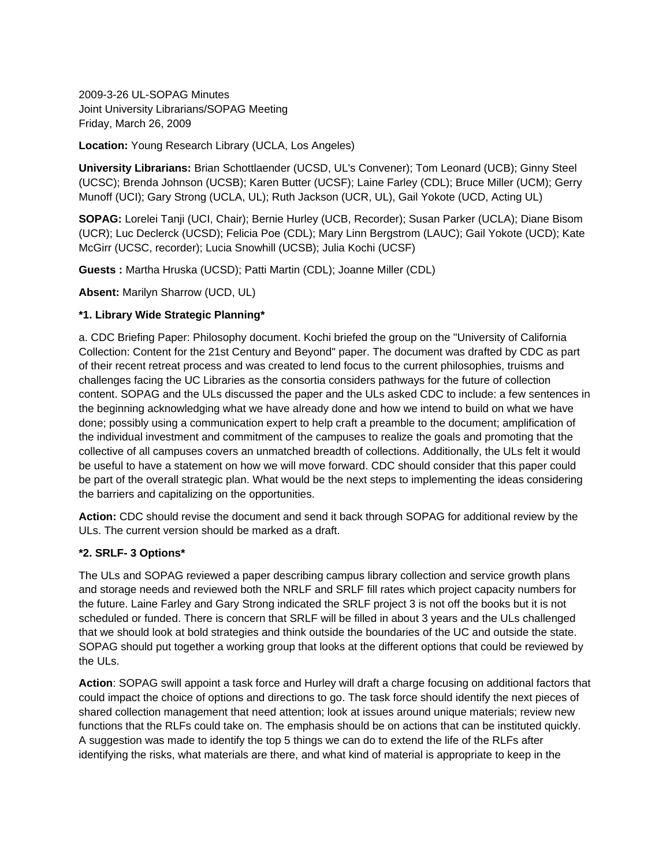2009-3-26 UL-SOPAG Minutes Joint University Librarians/SOPAG Meeting Friday, March 26, 2009

### **Location:** Young Research Library (UCLA, Los Angeles)

**University Librarians:** Brian Schottlaender (UCSD, UL's Convener); Tom Leonard (UCB); Ginny Steel (UCSC); Brenda Johnson (UCSB); Karen Butter (UCSF); Laine Farley (CDL); Bruce Miller (UCM); Gerry Munoff (UCI); Gary Strong (UCLA, UL); Ruth Jackson (UCR, UL), Gail Yokote (UCD, Acting UL)

**SOPAG:** Lorelei Tanji (UCI, Chair); Bernie Hurley (UCB, Recorder); Susan Parker (UCLA); Diane Bisom (UCR); Luc Declerck (UCSD); Felicia Poe (CDL); Mary Linn Bergstrom (LAUC); Gail Yokote (UCD); Kate McGirr (UCSC, recorder); Lucia Snowhill (UCSB); Julia Kochi (UCSF)

**Guests :** Martha Hruska (UCSD); Patti Martin (CDL); Joanne Miller (CDL)

**Absent:** Marilyn Sharrow (UCD, UL)

### **\*1. Library Wide Strategic Planning\***

a. CDC Briefing Paper: Philosophy document. Kochi briefed the group on the "University of California Collection: Content for the 21st Century and Beyond" paper. The document was drafted by CDC as part of their recent retreat process and was created to lend focus to the current philosophies, truisms and challenges facing the UC Libraries as the consortia considers pathways for the future of collection content. SOPAG and the ULs discussed the paper and the ULs asked CDC to include: a few sentences in the beginning acknowledging what we have already done and how we intend to build on what we have done; possibly using a communication expert to help craft a preamble to the document; amplification of the individual investment and commitment of the campuses to realize the goals and promoting that the collective of all campuses covers an unmatched breadth of collections. Additionally, the ULs felt it would be useful to have a statement on how we will move forward. CDC should consider that this paper could be part of the overall strategic plan. What would be the next steps to implementing the ideas considering the barriers and capitalizing on the opportunities.

**Action:** CDC should revise the document and send it back through SOPAG for additional review by the ULs. The current version should be marked as a draft.

#### **\*2. SRLF- 3 Options\***

The ULs and SOPAG reviewed a paper describing campus library collection and service growth plans and storage needs and reviewed both the NRLF and SRLF fill rates which project capacity numbers for the future. Laine Farley and Gary Strong indicated the SRLF project 3 is not off the books but it is not scheduled or funded. There is concern that SRLF will be filled in about 3 years and the ULs challenged that we should look at bold strategies and think outside the boundaries of the UC and outside the state. SOPAG should put together a working group that looks at the different options that could be reviewed by the ULs.

**Action**: SOPAG swill appoint a task force and Hurley will draft a charge focusing on additional factors that could impact the choice of options and directions to go. The task force should identify the next pieces of shared collection management that need attention; look at issues around unique materials; review new functions that the RLFs could take on. The emphasis should be on actions that can be instituted quickly. A suggestion was made to identify the top 5 things we can do to extend the life of the RLFs after identifying the risks, what materials are there, and what kind of material is appropriate to keep in the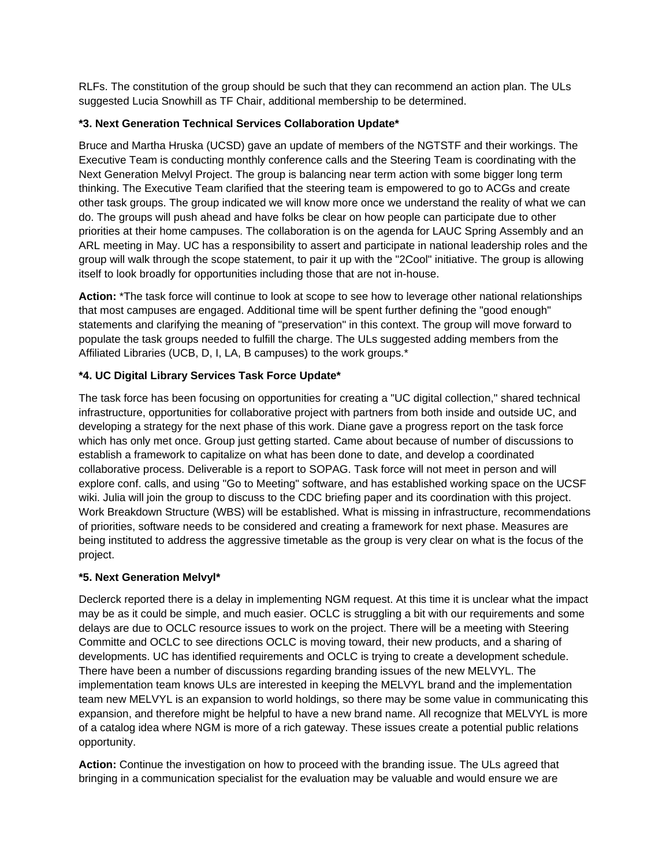RLFs. The constitution of the group should be such that they can recommend an action plan. The ULs suggested Lucia Snowhill as TF Chair, additional membership to be determined.

## **\*3. Next Generation Technical Services Collaboration Update\***

Bruce and Martha Hruska (UCSD) gave an update of members of the NGTSTF and their workings. The Executive Team is conducting monthly conference calls and the Steering Team is coordinating with the Next Generation Melvyl Project. The group is balancing near term action with some bigger long term thinking. The Executive Team clarified that the steering team is empowered to go to ACGs and create other task groups. The group indicated we will know more once we understand the reality of what we can do. The groups will push ahead and have folks be clear on how people can participate due to other priorities at their home campuses. The collaboration is on the agenda for LAUC Spring Assembly and an ARL meeting in May. UC has a responsibility to assert and participate in national leadership roles and the group will walk through the scope statement, to pair it up with the "2Cool" initiative. The group is allowing itself to look broadly for opportunities including those that are not in-house.

**Action:** \*The task force will continue to look at scope to see how to leverage other national relationships that most campuses are engaged. Additional time will be spent further defining the "good enough" statements and clarifying the meaning of "preservation" in this context. The group will move forward to populate the task groups needed to fulfill the charge. The ULs suggested adding members from the Affiliated Libraries (UCB, D, I, LA, B campuses) to the work groups.\*

# **\*4. UC Digital Library Services Task Force Update\***

The task force has been focusing on opportunities for creating a "UC digital collection," shared technical infrastructure, opportunities for collaborative project with partners from both inside and outside UC, and developing a strategy for the next phase of this work. Diane gave a progress report on the task force which has only met once. Group just getting started. Came about because of number of discussions to establish a framework to capitalize on what has been done to date, and develop a coordinated collaborative process. Deliverable is a report to SOPAG. Task force will not meet in person and will explore conf. calls, and using "Go to Meeting" software, and has established working space on the UCSF wiki. Julia will join the group to discuss to the CDC briefing paper and its coordination with this project. Work Breakdown Structure (WBS) will be established. What is missing in infrastructure, recommendations of priorities, software needs to be considered and creating a framework for next phase. Measures are being instituted to address the aggressive timetable as the group is very clear on what is the focus of the project.

# **\*5. Next Generation Melvyl\***

Declerck reported there is a delay in implementing NGM request. At this time it is unclear what the impact may be as it could be simple, and much easier. OCLC is struggling a bit with our requirements and some delays are due to OCLC resource issues to work on the project. There will be a meeting with Steering Committe and OCLC to see directions OCLC is moving toward, their new products, and a sharing of developments. UC has identified requirements and OCLC is trying to create a development schedule. There have been a number of discussions regarding branding issues of the new MELVYL. The implementation team knows ULs are interested in keeping the MELVYL brand and the implementation team new MELVYL is an expansion to world holdings, so there may be some value in communicating this expansion, and therefore might be helpful to have a new brand name. All recognize that MELVYL is more of a catalog idea where NGM is more of a rich gateway. These issues create a potential public relations opportunity.

**Action:** Continue the investigation on how to proceed with the branding issue. The ULs agreed that bringing in a communication specialist for the evaluation may be valuable and would ensure we are